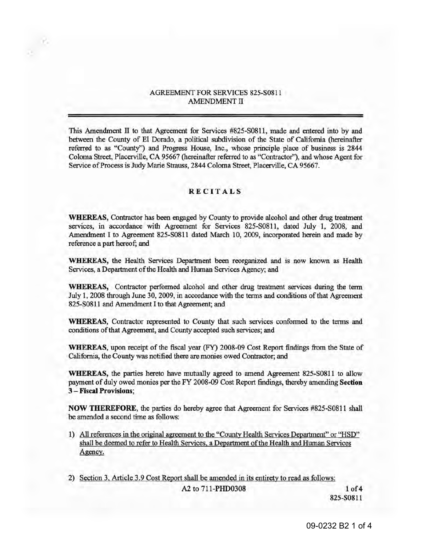## AGREEMENT FOR SERVICES 825-S0811 AMENDMENT II

This Amendment II to that Agreement for Services #825-S0811, made and entered into by and between the County of El Dorado, a political subdivision of the State of California (hereinafter referred to as "County") and Progress House, Inc., whose principle place of business is 2844 Coloma Street, Placerville, CA 95667 (hereinafter referred to as "Contractor''), and whose Agent for Service of Process is Judy Marie Strauss, 2844 Coloma Street, Placerville, CA 95667.

## **RECITALS**

**WHEREAS,** Contractor has been engaged by County to provide alcohol and other drug treatment services, in accordance with Agreement for Services 825-S0811, dated July 1, 2008, and Amendment I to Agreement 825-S0811 dated March 10, 2009, incorporated herein and made by reference a part hereof; and

**WHEREAS,** the Health Services Department been reorganized and is now known as Health Services, a Department of the Health and Human Services Agency; and

**WHEREAS,** Contractor performed alcohol and other drug treatment services during the term July 1, 2008 through June 30, 2009, in accordance with the terms and conditions of that Agreement 825-S0811 and Amendment I to that Agreement; and

**WHEREAS,** Contractor represented to County that such services conformed to the terms and conditions of that Agreement, and County accepted such services; and

**WHEREAS,** upon receipt of the fiscal year (FY) 2008-09 Cost Report findings from the State of California, the County was notified there are monies owed Contractor; and

**WHEREAS,** the parties hereto have mutually agreed to amend Agreement 825-S0811 to allow payment of duly owed monies per the FY 2008-09 Cost Report findings, thereby amending **Section**  3 - **Fiscal Provisions;** 

**NOW THEREFORE,** the parties do hereby agree that Agreement for Services #825-S0811 shall be amended a second time as follows:

- 1) All references in the original agreement to the "Countv Health Services Department" or "HSD" shall be deemed to refer to Health Services. a Department of the Health and Human Services Agency.
- 2) Section 3. Article 3.9 Cost Report shall be amended in its entirety to read as follows: A2 to 711-PHD0308 **1** of4

825-80811

09-0232 B2 1 of 4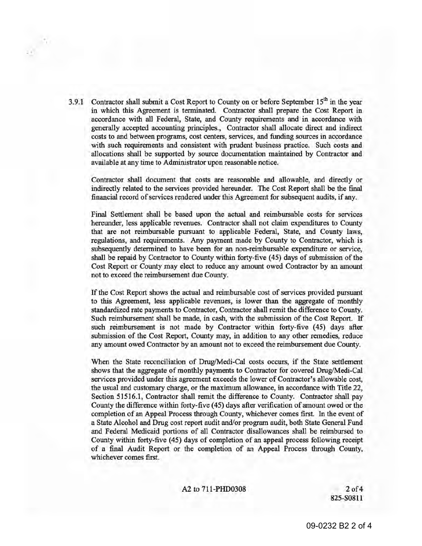3.9.1 Contractor shall submit a Cost Report to County on or before September  $15<sup>th</sup>$  in the year in which this Agreement is terminated. Contractor shall prepare the Cost Report in accordance with all Federal, State, and County requirements and in accordance with generally accepted accounting principles., Contractor shall allocate direct and indirect costs to and between programs, cost centers, services, and funding sources in accordance with such requirements and consistent with prudent business practice. Such costs and · allocations shall be supported by source documentation maintained by Contractor and available at any time to Administrator upon reasonable notice.

*<sup>v</sup>"* 

Contractor shall document that costs are reasonable and allowable, and directly or indirectly related to the services provided hereunder. The Cost Report shall be the final financial record of services rendered under this Agreement for subsequent audits, if any.

Final Settlement shall be based upon the actual and reimbursable costs for services hereunder, less applicable revenues. Contractor shall not claim expenditures to County that are not reimbursable pursuant to applicable Federal, State, and County laws, regulations, and requirements. Any payment made by County to Contractor, which is subsequently determined to have been for an non-reimbursable expenditure or service, shall be repaid by Contractor to County within forty-five (45) days of submission of the Cost Report or County may elect to reduce any amount owed Contractor by an amount not to exceed the reimbursement due County.

If the Cost Report shows the actual and reimbursable cost of services provided pursuant to this Agreement, less applicable revenues, is lower than the aggregate of monthly standardized rate payments to Contractor, Contractor shall remit the difference to County. Such reimbursement shall be made, in cash, with the submission of the Cost Report. If such reimbursement is not made by Contractor within forty-five (45) days after submission of the Cost Report, County may, in addition to any other remedies, reduce any amount owed Contractor by an amount not to exceed the reimbursement due County.

When the State reconciliation of Drug/Medi-Cal costs occurs, if the State settlement shows that the aggregate of monthly payments to Contractor for covered Drug/Medi-Cal services provided under this agreement exceeds the lower of Contractor's allowable cost, the usual and customary charge, or the maximum allowance, in accordance with Title 22, Section 51516.1, Contractor shall remit the difference to County. Contractor shall pay County the difference within forty-five (45) days after verification of amount owed or the completion of an Appeal Process through County, whichever comes first. In the event of a State Alcohol and Drug cost report audit and/or program audit, both State General Fund and Federal Medicaid portions of all Contractor disallowances shall be reimbursed to County within forty-five (45) days of completion of an appeal process following receipt of a final Audit Report or the completion of an Appeal Process through County, whichever comes first.

A2 to 711-PHD0308 2 of 4

825-S0811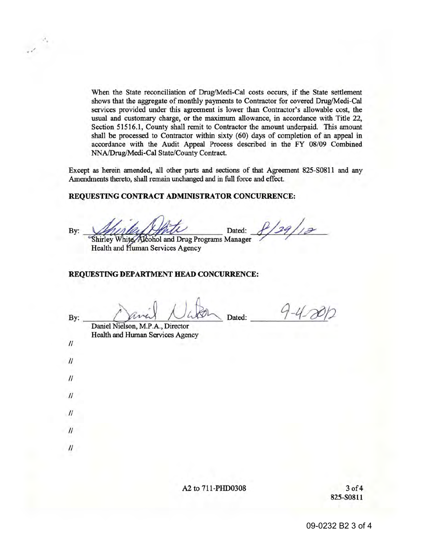When the State reconciliation of Drug/Medi-Cal costs occurs, if the State settlement shows that the aggregate of monthly payments to Contractor for covered Drug/Medi-Cal services provided under this agreement is lower than Contractor's allowable cost, the usual and customary charge, or the maximum allowance, in accordance with Title 22, Section 51516.1, County shall remit to Contractor the amount underpaid. This amount shall be processed to Contractor within sixty (60) days of completion of an appeal in accordance with the Audit Appeal Process described in the FY 08/09 Combined NNA/Drug!Medi-Cal State/County Contract.

Except as herein amended, all other parts and sections of that Agreement 825-S0811 and any Amendments thereto, shall remain unchanged and in full force and effect.

## **REQUESTING CONTRACT ADMINISTRATOR CONCURRENCE:**

By:

..

/ . "

 $2/29/12$ Dated:

Shirley White Akohol and Drug Programs Manager Health and Human Services Agency

## **REQUESTING DEPARTMENT HEAD CONCURRENCE:**

 $\mathcal{U}$ 

II

 $\prime$ 

 $\mathcal{U}$ 

II

 $\prime$ 

 $\prime\prime$ 

By:  $\mu$  ray  $\mu$  Dated:

Daniel Nielson, M.P .A., Director Health and Human Services Agency

A2 to 711-PHD0308 3 of 4

825-S0811